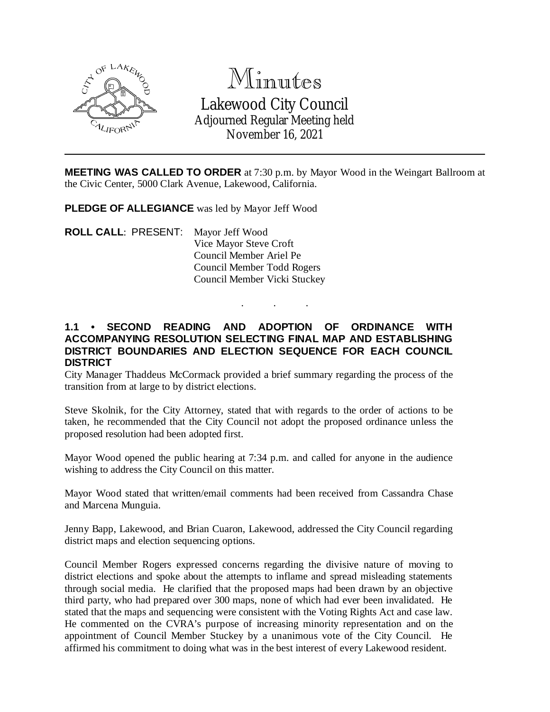

# Minutes Lakewood City Council Adjourned Regular Meeting held

November 16, 2021

**MEETING WAS CALLED TO ORDER** at 7:30 p.m. by Mayor Wood in the Weingart Ballroom at the Civic Center, 5000 Clark Avenue, Lakewood, California.

**PLEDGE OF ALLEGIANCE** was led by Mayor Jeff Wood

**ROLL CALL**: PRESENT: Mayor Jeff Wood Vice Mayor Steve Croft Council Member Ariel Pe Council Member Todd Rogers Council Member Vicki Stuckey

## **1.1 • SECOND READING AND ADOPTION OF ORDINANCE WITH ACCOMPANYING RESOLUTION SELECTING FINAL MAP AND ESTABLISHING DISTRICT BOUNDARIES AND ELECTION SEQUENCE FOR EACH COUNCIL DISTRICT**

. . .

City Manager Thaddeus McCormack provided a brief summary regarding the process of the transition from at large to by district elections.

Steve Skolnik, for the City Attorney, stated that with regards to the order of actions to be taken, he recommended that the City Council not adopt the proposed ordinance unless the proposed resolution had been adopted first.

Mayor Wood opened the public hearing at 7:34 p.m. and called for anyone in the audience wishing to address the City Council on this matter.

Mayor Wood stated that written/email comments had been received from Cassandra Chase and Marcena Munguia.

Jenny Bapp, Lakewood, and Brian Cuaron, Lakewood, addressed the City Council regarding district maps and election sequencing options.

Council Member Rogers expressed concerns regarding the divisive nature of moving to district elections and spoke about the attempts to inflame and spread misleading statements through social media. He clarified that the proposed maps had been drawn by an objective third party, who had prepared over 300 maps, none of which had ever been invalidated. He stated that the maps and sequencing were consistent with the Voting Rights Act and case law. He commented on the CVRA's purpose of increasing minority representation and on the appointment of Council Member Stuckey by a unanimous vote of the City Council. He affirmed his commitment to doing what was in the best interest of every Lakewood resident.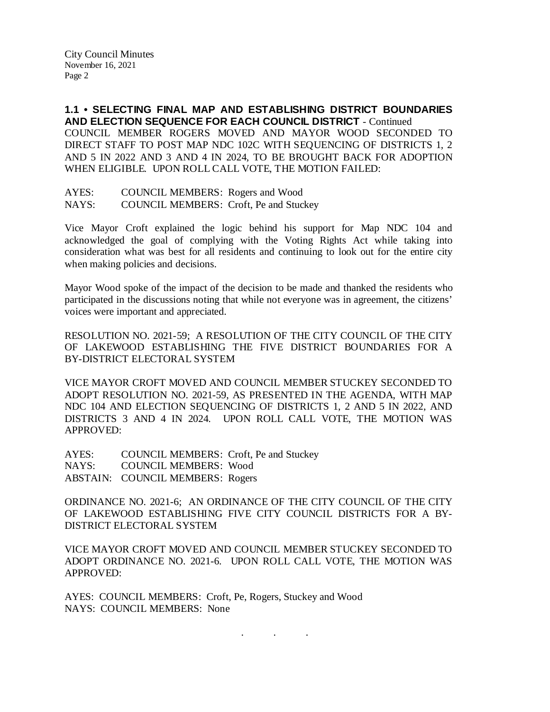**1.1 • SELECTING FINAL MAP AND ESTABLISHING DISTRICT BOUNDARIES AND ELECTION SEQUENCE FOR EACH COUNCIL DISTRICT** - Continued COUNCIL MEMBER ROGERS MOVED AND MAYOR WOOD SECONDED TO DIRECT STAFF TO POST MAP NDC 102C WITH SEQUENCING OF DISTRICTS 1, 2 AND 5 IN 2022 AND 3 AND 4 IN 2024, TO BE BROUGHT BACK FOR ADOPTION WHEN ELIGIBLE. UPON ROLL CALL VOTE, THE MOTION FAILED:

AYES: COUNCIL MEMBERS: Rogers and Wood NAYS: COUNCIL MEMBERS: Croft, Pe and Stuckey

Vice Mayor Croft explained the logic behind his support for Map NDC 104 and acknowledged the goal of complying with the Voting Rights Act while taking into consideration what was best for all residents and continuing to look out for the entire city when making policies and decisions.

Mayor Wood spoke of the impact of the decision to be made and thanked the residents who participated in the discussions noting that while not everyone was in agreement, the citizens' voices were important and appreciated.

RESOLUTION NO. 2021-59; A RESOLUTION OF THE CITY COUNCIL OF THE CITY OF LAKEWOOD ESTABLISHING THE FIVE DISTRICT BOUNDARIES FOR A BY-DISTRICT ELECTORAL SYSTEM

VICE MAYOR CROFT MOVED AND COUNCIL MEMBER STUCKEY SECONDED TO ADOPT RESOLUTION NO. 2021-59, AS PRESENTED IN THE AGENDA, WITH MAP NDC 104 AND ELECTION SEQUENCING OF DISTRICTS 1, 2 AND 5 IN 2022, AND DISTRICTS 3 AND 4 IN 2024. UPON ROLL CALL VOTE, THE MOTION WAS APPROVED:

AYES: COUNCIL MEMBERS: Croft, Pe and Stuckey NAYS: COUNCIL MEMBERS: Wood ABSTAIN: COUNCIL MEMBERS: Rogers

ORDINANCE NO. 2021-6; AN ORDINANCE OF THE CITY COUNCIL OF THE CITY OF LAKEWOOD ESTABLISHING FIVE CITY COUNCIL DISTRICTS FOR A BY-DISTRICT ELECTORAL SYSTEM

VICE MAYOR CROFT MOVED AND COUNCIL MEMBER STUCKEY SECONDED TO ADOPT ORDINANCE NO. 2021-6. UPON ROLL CALL VOTE, THE MOTION WAS APPROVED:

. . .

AYES: COUNCIL MEMBERS: Croft, Pe, Rogers, Stuckey and Wood NAYS: COUNCIL MEMBERS: None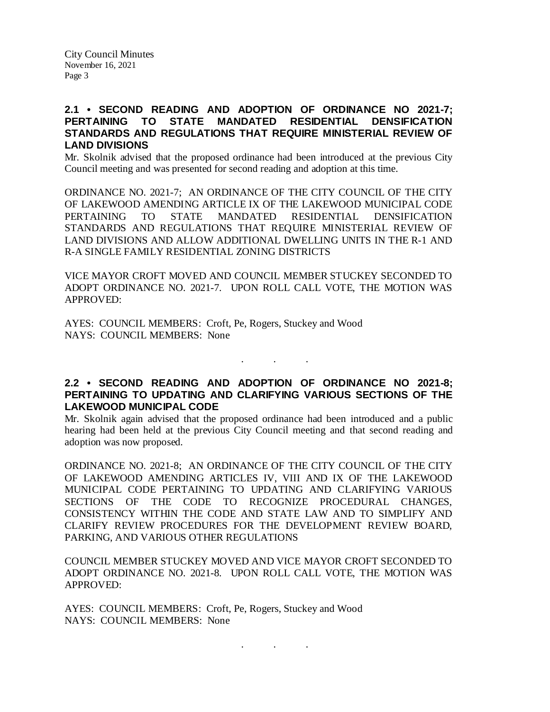City Council Minutes November 16, 2021 Page 3

## **2.1 • SECOND READING AND ADOPTION OF ORDINANCE NO 2021-7; PERTAINING TO STATE MANDATED RESIDENTIAL DENSIFICATION STANDARDS AND REGULATIONS THAT REQUIRE MINISTERIAL REVIEW OF LAND DIVISIONS**

Mr. Skolnik advised that the proposed ordinance had been introduced at the previous City Council meeting and was presented for second reading and adoption at this time.

ORDINANCE NO. 2021-7; AN ORDINANCE OF THE CITY COUNCIL OF THE CITY OF LAKEWOOD AMENDING ARTICLE IX OF THE LAKEWOOD MUNICIPAL CODE PERTAINING TO STATE MANDATED RESIDENTIAL DENSIFICATION STANDARDS AND REGULATIONS THAT REQUIRE MINISTERIAL REVIEW OF LAND DIVISIONS AND ALLOW ADDITIONAL DWELLING UNITS IN THE R-1 AND R-A SINGLE FAMILY RESIDENTIAL ZONING DISTRICTS

VICE MAYOR CROFT MOVED AND COUNCIL MEMBER STUCKEY SECONDED TO ADOPT ORDINANCE NO. 2021-7. UPON ROLL CALL VOTE, THE MOTION WAS APPROVED:

AYES: COUNCIL MEMBERS: Croft, Pe, Rogers, Stuckey and Wood NAYS: COUNCIL MEMBERS: None

# **2.2 • SECOND READING AND ADOPTION OF ORDINANCE NO 2021-8; PERTAINING TO UPDATING AND CLARIFYING VARIOUS SECTIONS OF THE LAKEWOOD MUNICIPAL CODE**

. . .

Mr. Skolnik again advised that the proposed ordinance had been introduced and a public hearing had been held at the previous City Council meeting and that second reading and adoption was now proposed.

ORDINANCE NO. 2021-8; AN ORDINANCE OF THE CITY COUNCIL OF THE CITY OF LAKEWOOD AMENDING ARTICLES IV, VIII AND IX OF THE LAKEWOOD MUNICIPAL CODE PERTAINING TO UPDATING AND CLARIFYING VARIOUS SECTIONS OF THE CODE TO RECOGNIZE PROCEDURAL CHANGES, CONSISTENCY WITHIN THE CODE AND STATE LAW AND TO SIMPLIFY AND CLARIFY REVIEW PROCEDURES FOR THE DEVELOPMENT REVIEW BOARD, PARKING, AND VARIOUS OTHER REGULATIONS

COUNCIL MEMBER STUCKEY MOVED AND VICE MAYOR CROFT SECONDED TO ADOPT ORDINANCE NO. 2021-8. UPON ROLL CALL VOTE, THE MOTION WAS APPROVED:

. . .

AYES: COUNCIL MEMBERS: Croft, Pe, Rogers, Stuckey and Wood NAYS: COUNCIL MEMBERS: None